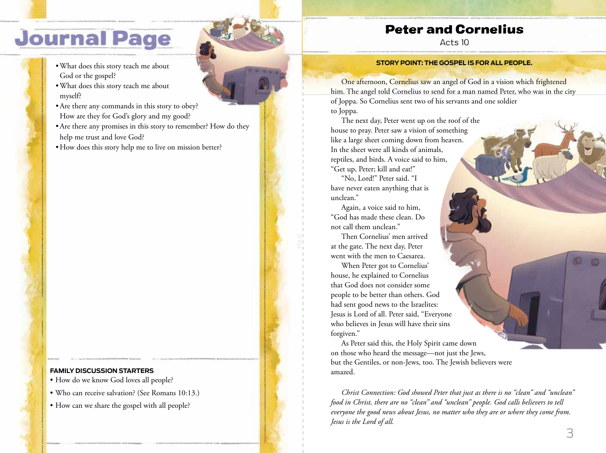# **Journal Page**

- •What does this story teach me about God or the gospel?
- •What does this story teach me about myself?
- •Are there any commands in this story to obey? How are they for God's glory and my good?
- •Are there any promises in this story to remember? How do they help me trust and love God?
- How does this story help me to live on mission better?

### **FAMILY DISCUSSION STARTERS**

- How do we know God loves all people?
- Who can receive salvation? (See Romans 10:13.)
- How can we share the gospel with all people?



## Peter and Cornelius

Acts 10

#### **STORY POINT: THE GOSPEL IS FOR ALL PEOPLE.**

One afternoon, Cornelius saw an angel of God in a vision which frightened him. The angel told Cornelius to send for a man named Peter, who was in the city of Joppa. So Cornelius sent two of his servants and one soldier to Joppa.

The next day, Peter went up on the roof of the house to pray. Peter saw a vision of something like a large sheet coming down from heaven. In the sheet were all kinds of animals, reptiles, and birds. A voice said to him, "Get up, Peter; kill and eat!"

"No, Lord!" Peter said. "I have never eaten anything that is unclean."

Again, a voice said to him, "God has made these clean. Do not call them unclean."

Then Cornelius' men arrived at the gate. The next day, Peter went with the men to Caesarea.

When Peter got to Cornelius' house, he explained to Cornelius that God does not consider some people to be better than others. God had sent good news to the Israelites: Jesus is Lord of all. Peter said, "Everyone who believes in Jesus will have their sins forgiven."

As Peter said this, the Holy Spirit came down on those who heard the message—not just the Jews, but the Gentiles, or non-Jews, too. The Jewish believers were amazed.

*Christ Connection: God showed Peter that just as there is no "clean" and "unclean" food in Christ, there are no "clean" and "unclean" people. God calls believers to tell everyone the good news about Jesus, no matter who they are or where they come from. Jesus is the Lord of all.*